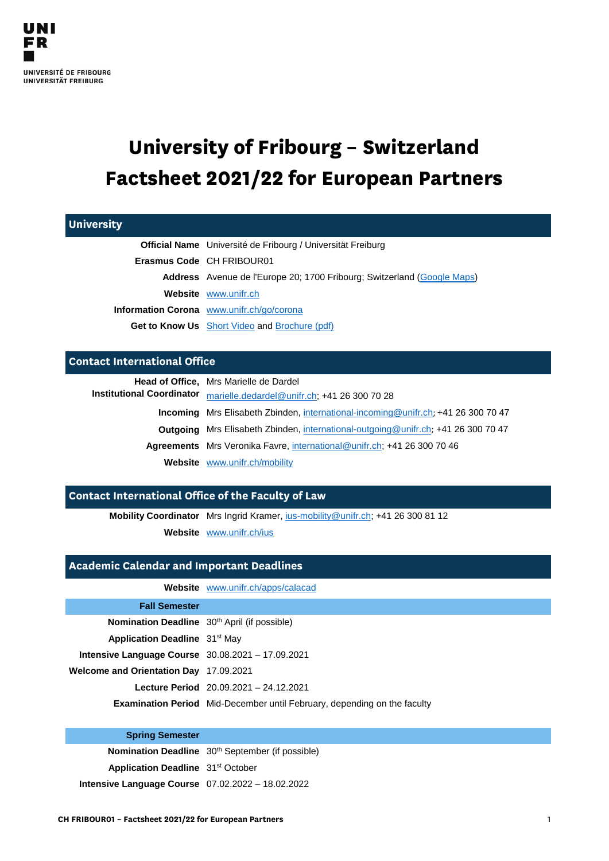# **University of Fribourg – Switzerland Factsheet 2021/22 for European Partners**

| <b>University</b>                   |                                                                                           |
|-------------------------------------|-------------------------------------------------------------------------------------------|
|                                     | <b>Official Name</b> Université de Fribourg / Universität Freiburg                        |
|                                     | Erasmus Code CH FRIBOUR01                                                                 |
|                                     | <b>Address</b> Avenue de l'Europe 20; 1700 Fribourg; Switzerland (Google Maps)            |
|                                     | Website www.unifr.ch                                                                      |
|                                     | Information Corona www.unifr.ch/go/corona                                                 |
|                                     | <b>Get to Know Us</b> Short Video and Brochure (pdf)                                      |
| <b>Contact International Office</b> |                                                                                           |
|                                     | <b>Head of Office, Mrs Marielle de Dardel</b>                                             |
| <b>Institutional Coordinator</b>    | marielle.dedardel@unifr.ch; +41 26 300 70 28                                              |
|                                     | Incoming Mrs Elisabeth Zbinden, international-incoming@unifr.ch; +41 26 300 70 47         |
|                                     | <b>Outgoing</b> Mrs Elisabeth Zbinden, international-outgoing @unifr.ch; +41 26 300 70 47 |
|                                     | <b>Agreements</b> Mrs Veronika Favre, international@unifr.ch; +41 26 300 70 46            |
|                                     |                                                                                           |

## **Contact International Office of the Faculty of Law**

**Mobility Coordinator** Mrs Ingrid Kramer, [ius-mobility@unifr.ch;](mailto:ius-mobility@unifr.ch) +41 26 300 81 12

**Website** [www.unifr.ch/ius](http://www.unifr.ch/ius)

## **Academic Calendar and Important Deadlines**

|                                                            | <b>Website</b> www.unifr.ch/apps/calacad                                        |
|------------------------------------------------------------|---------------------------------------------------------------------------------|
| <b>Fall Semester</b>                                       |                                                                                 |
| Nomination Deadline 30 <sup>th</sup> April (if possible)   |                                                                                 |
| <b>Application Deadline</b> 31 <sup>st</sup> May           |                                                                                 |
| <b>Intensive Language Course</b> $30.08.2021 - 17.09.2021$ |                                                                                 |
| <b>Welcome and Orientation Day 17.09.2021</b>              |                                                                                 |
|                                                            | Lecture Period 20.09.2021 - 24.12.2021                                          |
|                                                            | <b>Examination Period</b> Mid-December until February, depending on the faculty |

#### **Spring Semester**

**Nomination Deadline** 30<sup>th</sup> September (if possible)

**Application Deadline** 31<sup>st</sup> October

**Intensive Language Course** 07.02.2022 – 18.02.2022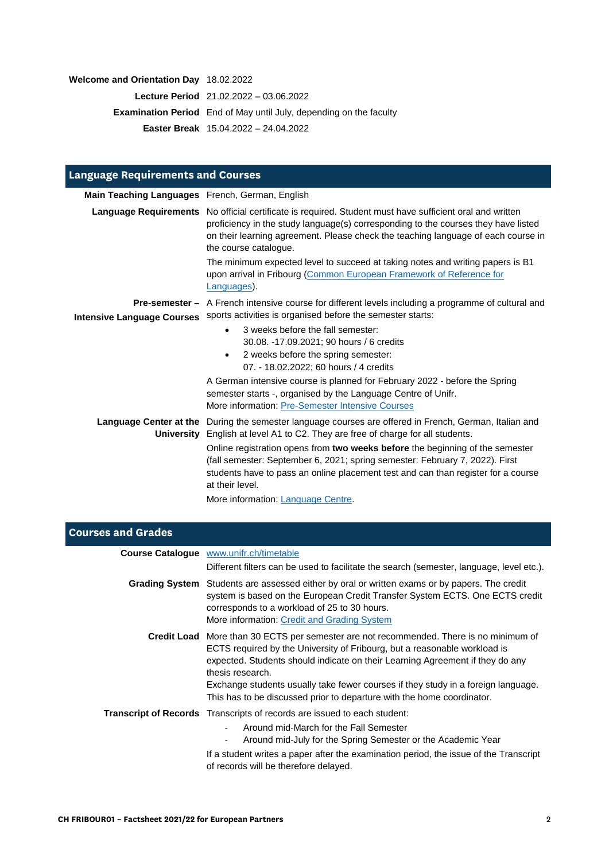## **Welcome and Orientation Day** 18.02.2022

**Lecture Period** 21.02.2022 – 03.06.2022

**Examination Period** End of May until July, depending on the faculty

**Easter Break** 15.04.2022 – 24.04.2022

| <b>Language Requirements and Courses</b>        |                                                                                                                                                                                                                                                                                                              |
|-------------------------------------------------|--------------------------------------------------------------------------------------------------------------------------------------------------------------------------------------------------------------------------------------------------------------------------------------------------------------|
| Main Teaching Languages French, German, English |                                                                                                                                                                                                                                                                                                              |
|                                                 | Language Requirements No official certificate is required. Student must have sufficient oral and written<br>proficiency in the study language(s) corresponding to the courses they have listed<br>on their learning agreement. Please check the teaching language of each course in<br>the course catalogue. |
|                                                 | The minimum expected level to succeed at taking notes and writing papers is B1<br>upon arrival in Fribourg (Common European Framework of Reference for<br>Languages).                                                                                                                                        |
| <b>Intensive Language Courses</b>               | <b>Pre-semester</b> – A French intensive course for different levels including a programme of cultural and<br>sports activities is organised before the semester starts:                                                                                                                                     |
|                                                 | 3 weeks before the fall semester:<br>$\bullet$<br>30.08. -17.09.2021; 90 hours / 6 credits<br>2 weeks before the spring semester:<br>$\bullet$<br>07. - 18.02.2022; 60 hours / 4 credits                                                                                                                     |
|                                                 | A German intensive course is planned for February 2022 - before the Spring<br>semester starts -, organised by the Language Centre of Unifr.<br>More information: Pre-Semester Intensive Courses                                                                                                              |
|                                                 | Language Center at the During the semester language courses are offered in French, German, Italian and<br>University English at level A1 to C2. They are free of charge for all students.                                                                                                                    |
|                                                 | Online registration opens from two weeks before the beginning of the semester<br>(fall semester: September 6, 2021; spring semester: February 7, 2022). First<br>students have to pass an online placement test and can than register for a course<br>at their level.                                        |
|                                                 | More information: Language Centre.                                                                                                                                                                                                                                                                           |

| <b>Courses and Grades</b> |                                                                                                                                                                                                                                                                                                                                                                                                                                                |
|---------------------------|------------------------------------------------------------------------------------------------------------------------------------------------------------------------------------------------------------------------------------------------------------------------------------------------------------------------------------------------------------------------------------------------------------------------------------------------|
|                           | <b>Course Catalogue</b> www.unifr.ch/timetable                                                                                                                                                                                                                                                                                                                                                                                                 |
|                           | Different filters can be used to facilitate the search (semester, language, level etc.).                                                                                                                                                                                                                                                                                                                                                       |
|                           | Grading System Students are assessed either by oral or written exams or by papers. The credit<br>system is based on the European Credit Transfer System ECTS. One ECTS credit<br>corresponds to a workload of 25 to 30 hours.<br>More information: Credit and Grading System                                                                                                                                                                   |
|                           | <b>Credit Load</b> More than 30 ECTS per semester are not recommended. There is no minimum of<br>ECTS required by the University of Fribourg, but a reasonable workload is<br>expected. Students should indicate on their Learning Agreement if they do any<br>thesis research.<br>Exchange students usually take fewer courses if they study in a foreign language.<br>This has to be discussed prior to departure with the home coordinator. |
|                           | <b>Transcript of Records</b> Transcripts of records are issued to each student:<br>Around mid-March for the Fall Semester<br>Around mid-July for the Spring Semester or the Academic Year                                                                                                                                                                                                                                                      |
|                           | If a student writes a paper after the examination period, the issue of the Transcript<br>of records will be therefore delayed.                                                                                                                                                                                                                                                                                                                 |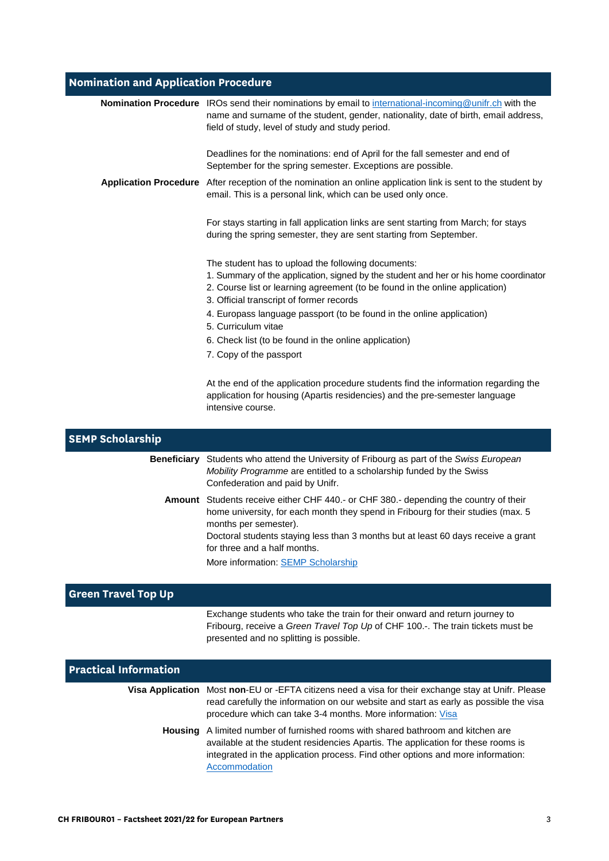# **Nomination and Application Procedure**

|                      | Nomination Procedure IROs send their nominations by email to international-incoming@unifr.ch with the<br>name and surname of the student, gender, nationality, date of birth, email address,<br>field of study, level of study and study period.                       |
|----------------------|------------------------------------------------------------------------------------------------------------------------------------------------------------------------------------------------------------------------------------------------------------------------|
|                      | Deadlines for the nominations: end of April for the fall semester and end of<br>September for the spring semester. Exceptions are possible.                                                                                                                            |
|                      | Application Procedure After reception of the nomination an online application link is sent to the student by<br>email. This is a personal link, which can be used only once.                                                                                           |
|                      | For stays starting in fall application links are sent starting from March; for stays<br>during the spring semester, they are sent starting from September.                                                                                                             |
|                      | The student has to upload the following documents:<br>1. Summary of the application, signed by the student and her or his home coordinator<br>2. Course list or learning agreement (to be found in the online application)<br>3. Official transcript of former records |
|                      | 4. Europass language passport (to be found in the online application)<br>5. Curriculum vitae                                                                                                                                                                           |
|                      | 6. Check list (to be found in the online application)                                                                                                                                                                                                                  |
|                      | 7. Copy of the passport                                                                                                                                                                                                                                                |
|                      | At the end of the application procedure students find the information regarding the<br>application for housing (Apartis residencies) and the pre-semester language<br>intensive course.                                                                                |
| <b>P Scholarship</b> |                                                                                                                                                                                                                                                                        |

| <b>SEMP Scholarship</b>    |                                                                                                                                                                                                                                                                                                                                                                      |
|----------------------------|----------------------------------------------------------------------------------------------------------------------------------------------------------------------------------------------------------------------------------------------------------------------------------------------------------------------------------------------------------------------|
| <b>Beneficiary</b>         | Students who attend the University of Fribourg as part of the Swiss European<br>Mobility Programme are entitled to a scholarship funded by the Swiss<br>Confederation and paid by Unifr.                                                                                                                                                                             |
|                            | <b>Amount</b> Students receive either CHF 440.- or CHF 380.- depending the country of their<br>home university, for each month they spend in Fribourg for their studies (max. 5)<br>months per semester).<br>Doctoral students staying less than 3 months but at least 60 days receive a grant<br>for three and a half months.<br>More information: SEMP Scholarship |
| <b>Green Travel Top Up</b> |                                                                                                                                                                                                                                                                                                                                                                      |
|                            | Exchange students who take the train for their onward and return journey to<br>Fribourg, receive a Green Travel Top Up of CHF 100.-. The train tickets must be                                                                                                                                                                                                       |

| <b>Practical Information</b> |                                                                                                                                                                                                                                                                                 |
|------------------------------|---------------------------------------------------------------------------------------------------------------------------------------------------------------------------------------------------------------------------------------------------------------------------------|
|                              | Visa Application Most non-EU or -EFTA citizens need a visa for their exchange stay at Unifr. Please<br>read carefully the information on our website and start as early as possible the visa<br>procedure which can take 3-4 months. More information: Visa                     |
|                              | <b>Housing</b> A limited number of furnished rooms with shared bathroom and kitchen are<br>available at the student residencies Apartis. The application for these rooms is<br>integrated in the application process. Find other options and more information:<br>Accommodation |

presented and no splitting is possible.